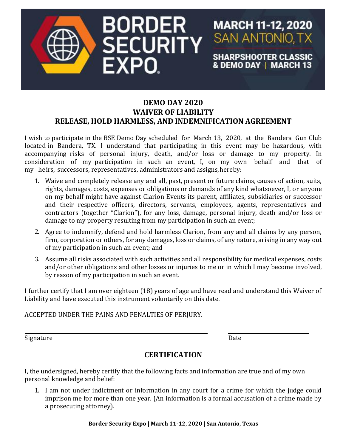

## **DEMO DAY 2020 WAIVER OF LIABILITY RELEASE, HOLD HARMLESS, AND INDEMNIFICATION AGREEMENT**

I wish to participate in the BSE Demo Day scheduled for March 13, 2020, at the Bandera Gun Club located in Bandera, TX. I understand that participating in this event may be hazardous, with accompanying risks of personal injury, death, and/or loss or damage to my property. In consideration of my participation in such an event, I, on my own behalf and that of my heirs, successors, representatives, administrators and assigns, hereby:

- 1. Waive and completely release any and all, past, present or future claims, causes of action, suits, rights, damages, costs, expenses or obligations or demands of any kind whatsoever, I, or anyone on my behalf might have against Clarion Events its parent, affiliates, subsidiaries or successor and their respective officers, directors, servants, employees, agents, representatives and contractors (together "Clarion"), for any loss, damage, personal injury, death and/or loss or damage to my property resulting from my participation in such an event;
- 2. Agree to indemnify, defend and hold harmless Clarion, from any and all claims by any person, firm, corporation or others, for any damages, loss or claims, of any nature, arising in any way out of my participation in such an event; and
- 3. Assume all risks associated with such activities and all responsibility for medical expenses, costs and/or other obligations and other losses or injuries to me or in which I may become involved, by reason of my participation in such an event.

I further certify that I am over eighteen (18) years of age and have read and understand this Waiver of Liability and have executed this instrument voluntarily on this date.

ACCEPTED UNDER THE PAINS AND PENALTIES OF PERJURY.

Signature Date

**MARCH 11-12, 2020** 

**SAN ANTONIO, TX** 

**SHARPSHOOTER CLASSIC** & DEMO DAY | MARCH 13

## **CERTIFICATION**

I, the undersigned, hereby certify that the following facts and information are true and of my own personal knowledge and belief:

1. I am not under indictment or information in any court for a crime for which the judge could imprison me for more than one year. (An information is a formal accusation of a crime made by a prosecuting attorney).